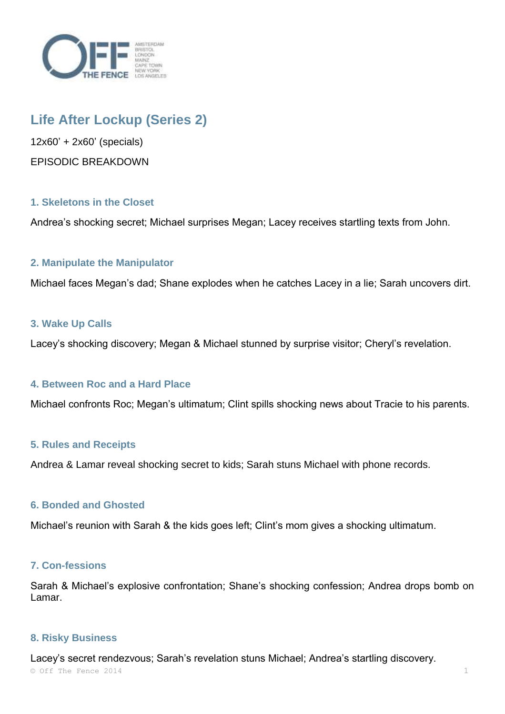

# **Life After Lockup (Series 2)**

12x60' + 2x60' (specials) EPISODIC BREAKDOWN

# **1. Skeletons in the Closet**

Andrea's shocking secret; Michael surprises Megan; Lacey receives startling texts from John.

# **2. Manipulate the Manipulator**

Michael faces Megan's dad; Shane explodes when he catches Lacey in a lie; Sarah uncovers dirt.

## **3. Wake Up Calls**

Lacey's shocking discovery; Megan & Michael stunned by surprise visitor; Cheryl's revelation.

## **4. Between Roc and a Hard Place**

Michael confronts Roc; Megan's ultimatum; Clint spills shocking news about Tracie to his parents.

#### **5. Rules and Receipts**

Andrea & Lamar reveal shocking secret to kids; Sarah stuns Michael with phone records.

#### **6. Bonded and Ghosted**

Michael's reunion with Sarah & the kids goes left; Clint's mom gives a shocking ultimatum.

#### **7. Con-fessions**

Sarah & Michael's explosive confrontation; Shane's shocking confession; Andrea drops bomb on Lamar.

#### **8. Risky Business**

 $\circ$  Off The Fence 2014 1 Lacey's secret rendezvous; Sarah's revelation stuns Michael; Andrea's startling discovery.